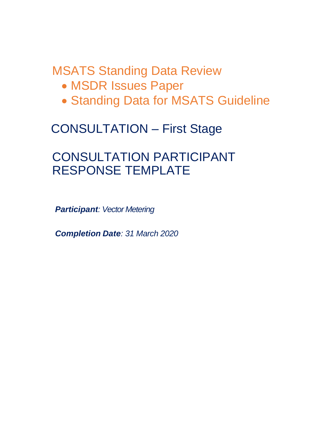# MSATS Standing Data Review

- MSDR Issues Paper
- Standing Data for MSATS Guideline

## CONSULTATION – First Stage

## CONSULTATION PARTICIPANT RESPONSE TEMPLATE

*Participant: Vector Metering*

*Completion Date: 31 March 2020*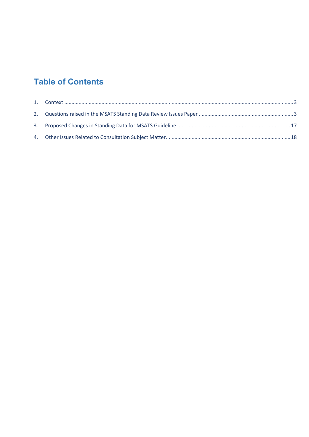## **Table of Contents**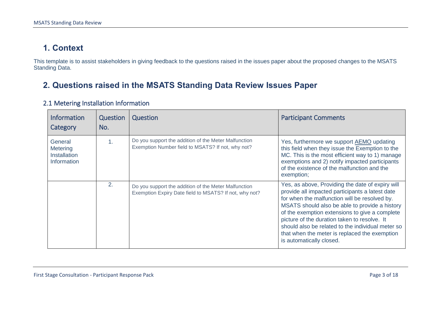### **1. Context**

This template is to assist stakeholders in giving feedback to the questions raised in the issues paper about the proposed changes to the MSATS Standing Data.

### **2. Questions raised in the MSATS Standing Data Review Issues Paper**

<span id="page-2-1"></span><span id="page-2-0"></span>

| <b>Information</b><br>Category                                   | Question<br>No. | Question                                                                                                       | <b>Participant Comments</b>                                                                                                                                                                                                                                                                                                                                                                                                                |
|------------------------------------------------------------------|-----------------|----------------------------------------------------------------------------------------------------------------|--------------------------------------------------------------------------------------------------------------------------------------------------------------------------------------------------------------------------------------------------------------------------------------------------------------------------------------------------------------------------------------------------------------------------------------------|
| General<br><b>Metering</b><br><b>Installation</b><br>Information | 1.              | Do you support the addition of the Meter Malfunction<br>Exemption Number field to MSATS? If not, why not?      | Yes, furthermore we support AEMO updating<br>this field when they issue the Exemption to the<br>MC. This is the most efficient way to 1) manage<br>exemptions and 2) notify impacted participants<br>of the existence of the malfunction and the<br>exemption;                                                                                                                                                                             |
|                                                                  | 2.              | Do you support the addition of the Meter Malfunction<br>Exemption Expiry Date field to MSATS? If not, why not? | Yes, as above, Providing the date of expiry will<br>provide all impacted participants a latest date<br>for when the malfunction will be resolved by.<br>MSATS should also be able to provide a history<br>of the exemption extensions to give a complete<br>picture of the duration taken to resolve. It<br>should also be related to the individual meter so<br>that when the meter is replaced the exemption<br>is automatically closed. |

#### 2.1 Metering Installation Information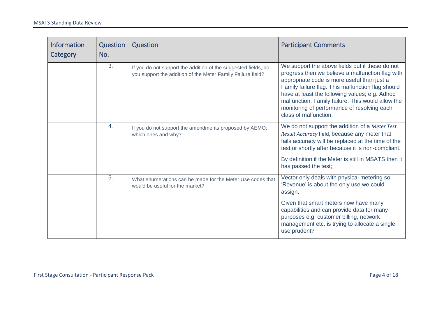| <b>Information</b><br>Category | Question<br>No. | Question                                                                                                                      | <b>Participant Comments</b>                                                                                                                                                                                                                                                                                                                                                            |
|--------------------------------|-----------------|-------------------------------------------------------------------------------------------------------------------------------|----------------------------------------------------------------------------------------------------------------------------------------------------------------------------------------------------------------------------------------------------------------------------------------------------------------------------------------------------------------------------------------|
|                                | 3.              | If you do not support the addition of the suggested fields, do<br>you support the addition of the Meter Family Failure field? | We support the above fields but if these do not<br>progress then we believe a malfunction flag with<br>appropriate code is more useful than just a<br>Family failure flag. This malfunction flag should<br>have at least the following values; e.g. Adhoc<br>malfunction, Family failure. This would allow the<br>monitoring of performance of resolving each<br>class of malfunction. |
|                                | 4.              | If you do not support the amendments proposed by AEMO,<br>which ones and why?                                                 | We do not support the addition of a Meter Test<br>Result Accuracy field, because any meter that<br>fails accuracy will be replaced at the time of the<br>test or shortly after because it is non-compliant.                                                                                                                                                                            |
|                                |                 |                                                                                                                               | By definition if the Meter is still in MSATS then it<br>has passed the test;                                                                                                                                                                                                                                                                                                           |
|                                | 5.              | What enumerations can be made for the Meter Use codes that<br>would be useful for the market?                                 | Vector only deals with physical metering so<br>'Revenue' is about the only use we could<br>assign.                                                                                                                                                                                                                                                                                     |
|                                |                 |                                                                                                                               | Given that smart meters now have many<br>capabilities and can provide data for many<br>purposes e.g. customer billing, network<br>management etc, is trying to allocate a single<br>use prudent?                                                                                                                                                                                       |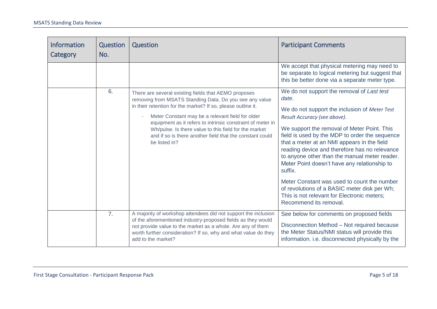| <b>Information</b><br>Category | Question<br>No. | Question                                                                                                                                                                                                                                                                                                                                                                                                                                | <b>Participant Comments</b>                                                                                                                                                                                                                                                                                                                                                                                                                                                                                                                                                                                               |
|--------------------------------|-----------------|-----------------------------------------------------------------------------------------------------------------------------------------------------------------------------------------------------------------------------------------------------------------------------------------------------------------------------------------------------------------------------------------------------------------------------------------|---------------------------------------------------------------------------------------------------------------------------------------------------------------------------------------------------------------------------------------------------------------------------------------------------------------------------------------------------------------------------------------------------------------------------------------------------------------------------------------------------------------------------------------------------------------------------------------------------------------------------|
|                                |                 |                                                                                                                                                                                                                                                                                                                                                                                                                                         | We accept that physical metering may need to<br>be separate to logical metering but suggest that<br>this be better done via a separate meter type.                                                                                                                                                                                                                                                                                                                                                                                                                                                                        |
|                                | 6.              | There are several existing fields that AEMO proposes<br>removing from MSATS Standing Data. Do you see any value<br>in their retention for the market? If so, please outline it.<br>Meter Constant may be a relevant field for older<br>equipment as it refers to intrinsic constraint of meter in<br>Wh/pulse. Is there value to this field for the market<br>and if so is there another field that the constant could<br>be listed in? | We do not support the removal of Last test<br>date.<br>We do not support the inclusion of Meter Test<br>Result Accuracy (see above).<br>We support the removal of Meter Point. This<br>field is used by the MDP to order the sequence<br>that a meter at an NMI appears in the field<br>reading device and therefore has no relevance<br>to anyone other than the manual meter reader.<br>Meter Point doesn't have any relationship to<br>suffix.<br>Meter Constant was used to count the number<br>of revolutions of a BASIC meter disk per Wh;<br>This is not relevant for Electronic meters;<br>Recommend its removal. |
|                                | 7.              | A majority of workshop attendees did not support the inclusion<br>of the aforementioned industry-proposed fields as they would<br>not provide value to the market as a whole. Are any of them<br>worth further consideration? If so, why and what value do they<br>add to the market?                                                                                                                                                   | See below for comments on proposed fields<br>Disconnection Method - Not required because<br>the Meter Status/NMI status will provide this<br>information. i.e. disconnected physically by the                                                                                                                                                                                                                                                                                                                                                                                                                             |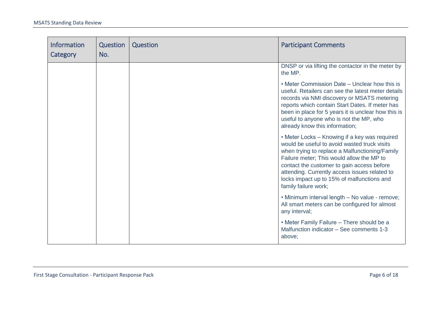| <b>Information</b><br>Category | Question<br>No. | Question | <b>Participant Comments</b>                                                                                                                                                                                                                                                                                                                                       |
|--------------------------------|-----------------|----------|-------------------------------------------------------------------------------------------------------------------------------------------------------------------------------------------------------------------------------------------------------------------------------------------------------------------------------------------------------------------|
|                                |                 |          | DNSP or via lifting the contactor in the meter by<br>the MP.                                                                                                                                                                                                                                                                                                      |
|                                |                 |          | • Meter Commission Date – Unclear how this is<br>useful. Retailers can see the latest meter details<br>records via NMI discovery or MSATS metering<br>reports which contain Start Dates. If meter has<br>been in place for 5 years it is unclear how this is<br>useful to anyone who is not the MP, who<br>already know this information;                         |
|                                |                 |          | • Meter Locks - Knowing if a key was required<br>would be useful to avoid wasted truck visits<br>when trying to replace a Malfunctioning/Family<br>Failure meter; This would allow the MP to<br>contact the customer to gain access before<br>attending. Currently access issues related to<br>locks impact up to 15% of malfunctions and<br>family failure work; |
|                                |                 |          | • Minimum interval length - No value - remove;<br>All smart meters can be configured for almost<br>any interval;                                                                                                                                                                                                                                                  |
|                                |                 |          | • Meter Family Failure - There should be a<br>Malfunction indicator - See comments 1-3<br>above;                                                                                                                                                                                                                                                                  |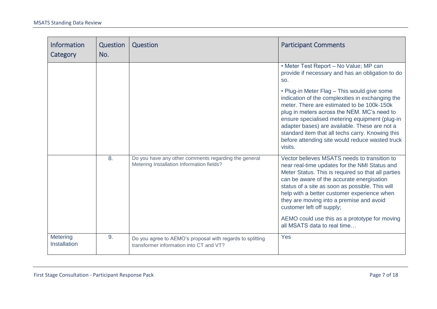| <b>Information</b><br>Category | Question<br>No. | Question                                                                                             | <b>Participant Comments</b>                                                                                                                                                                                                                                                                                                                                                                                                  |
|--------------------------------|-----------------|------------------------------------------------------------------------------------------------------|------------------------------------------------------------------------------------------------------------------------------------------------------------------------------------------------------------------------------------------------------------------------------------------------------------------------------------------------------------------------------------------------------------------------------|
|                                |                 |                                                                                                      | • Meter Test Report - No Value; MP can<br>provide if necessary and has an obligation to do<br>SO.                                                                                                                                                                                                                                                                                                                            |
|                                |                 |                                                                                                      | • Plug-in Meter Flag - This would give some<br>indication of the complexities in exchanging the<br>meter. There are estimated to be 100k-150k<br>plug in meters across the NEM. MC's need to<br>ensure specialised metering equipment (plug-in<br>adapter bases) are available. These are not a<br>standard item that all techs carry. Knowing this<br>before attending site would reduce wasted truck<br>visits.            |
|                                | 8.              | Do you have any other comments regarding the general<br>Metering Installation Information fields?    | Vector believes MSATS needs to transition to<br>near real-time updates for the NMI Status and<br>Meter Status. This is required so that all parties<br>can be aware of the accurate energisation<br>status of a site as soon as possible. This will<br>help with a better customer experience when<br>they are moving into a premise and avoid<br>customer left off supply;<br>AEMO could use this as a prototype for moving |
|                                |                 |                                                                                                      | all MSATS data to real time                                                                                                                                                                                                                                                                                                                                                                                                  |
| Metering<br>Installation       | 9.              | Do you agree to AEMO's proposal with regards to splitting<br>transformer information into CT and VT? | Yes                                                                                                                                                                                                                                                                                                                                                                                                                          |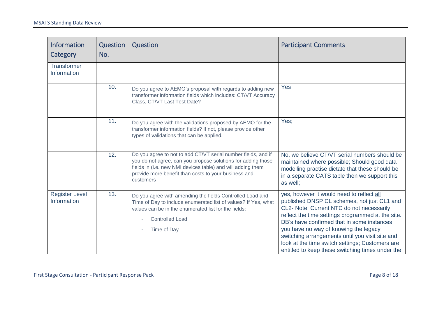| <b>Information</b><br>Category       | Question<br>No. | Question                                                                                                                                                                                                                                                          | <b>Participant Comments</b>                                                                                                                                                                                                                                                                                                                                                                                                                 |
|--------------------------------------|-----------------|-------------------------------------------------------------------------------------------------------------------------------------------------------------------------------------------------------------------------------------------------------------------|---------------------------------------------------------------------------------------------------------------------------------------------------------------------------------------------------------------------------------------------------------------------------------------------------------------------------------------------------------------------------------------------------------------------------------------------|
| <b>Transformer</b><br>Information    |                 |                                                                                                                                                                                                                                                                   |                                                                                                                                                                                                                                                                                                                                                                                                                                             |
|                                      | 10.             | Do you agree to AEMO's proposal with regards to adding new<br>transformer information fields which includes: CT/VT Accuracy<br>Class, CT/VT Last Test Date?                                                                                                       | Yes                                                                                                                                                                                                                                                                                                                                                                                                                                         |
|                                      | 11.             | Do you agree with the validations proposed by AEMO for the<br>transformer information fields? If not, please provide other<br>types of validations that can be applied.                                                                                           | Yes;                                                                                                                                                                                                                                                                                                                                                                                                                                        |
|                                      | 12.             | Do you agree to not to add CT/VT serial number fields, and if<br>you do not agree, can you propose solutions for adding those<br>fields in (i.e. new NMI devices table) and will adding them<br>provide more benefit than costs to your business and<br>customers | No, we believe CT/VT serial numbers should be<br>maintained where possible; Should good data<br>modelling practise dictate that these should be<br>in a separate CATS table then we support this<br>as well;                                                                                                                                                                                                                                |
| <b>Register Level</b><br>Information | 13.             | Do you agree with amending the fields Controlled Load and<br>Time of Day to include enumerated list of values? If Yes, what<br>values can be in the enumerated list for the fields:<br><b>Controlled Load</b><br>Time of Day                                      | yes, however it would need to reflect all<br>published DNSP CL schemes, not just CL1 and<br>CL2- Note: Current NTC do not necessarily<br>reflect the time settings programmed at the site.<br>DB's have confirmed that in some instances<br>you have no way of knowing the legacy<br>switching arrangements until you visit site and<br>look at the time switch settings; Customers are<br>entitled to keep these switching times under the |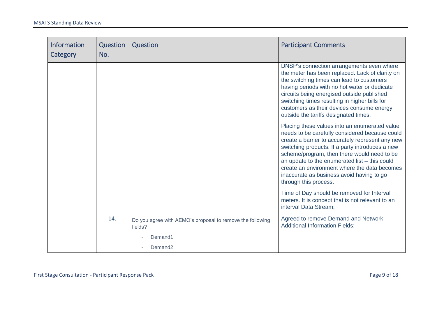| Information<br>Category | <b>Question</b><br>No. | Question                                                             | <b>Participant Comments</b>                                                                                                                                                                                                                                                                                                                                                                                                  |
|-------------------------|------------------------|----------------------------------------------------------------------|------------------------------------------------------------------------------------------------------------------------------------------------------------------------------------------------------------------------------------------------------------------------------------------------------------------------------------------------------------------------------------------------------------------------------|
|                         |                        |                                                                      | DNSP's connection arrangements even where<br>the meter has been replaced. Lack of clarity on<br>the switching times can lead to customers<br>having periods with no hot water or dedicate<br>circuits being energised outside published<br>switching times resulting in higher bills for<br>customers as their devices consume energy<br>outside the tariffs designated times.                                               |
|                         |                        |                                                                      | Placing these values into an enumerated value<br>needs to be carefully considered because could<br>create a barrier to accurately represent any new<br>switching products. If a party introduces a new<br>scheme/program, then there would need to be<br>an update to the enumerated list - this could<br>create an environment where the data becomes<br>inaccurate as business avoid having to go<br>through this process. |
|                         |                        |                                                                      | Time of Day should be removed for Interval<br>meters. It is concept that is not relevant to an<br>interval Data Stream;                                                                                                                                                                                                                                                                                                      |
|                         | 14.                    | Do you agree with AEMO's proposal to remove the following<br>fields? | Agreed to remove Demand and Network<br><b>Additional Information Fields;</b>                                                                                                                                                                                                                                                                                                                                                 |
|                         |                        | Demand1                                                              |                                                                                                                                                                                                                                                                                                                                                                                                                              |
|                         |                        | Demand <sub>2</sub>                                                  |                                                                                                                                                                                                                                                                                                                                                                                                                              |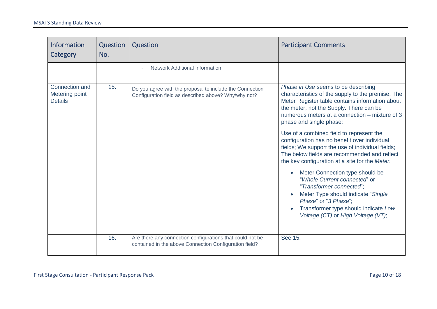| <b>Information</b><br>Category                     | Question<br>No. | Question                                                                                                            | <b>Participant Comments</b>                                                                                                                                                                                                                                         |
|----------------------------------------------------|-----------------|---------------------------------------------------------------------------------------------------------------------|---------------------------------------------------------------------------------------------------------------------------------------------------------------------------------------------------------------------------------------------------------------------|
|                                                    |                 | <b>Network Additional Information</b>                                                                               |                                                                                                                                                                                                                                                                     |
| Connection and<br>Metering point<br><b>Details</b> | 15.             | Do you agree with the proposal to include the Connection<br>Configuration field as described above? Why/why not?    | Phase in Use seems to be describing<br>characteristics of the supply to the premise. The<br>Meter Register table contains information about<br>the meter, not the Supply. There can be<br>numerous meters at a connection – mixture of 3<br>phase and single phase; |
|                                                    |                 |                                                                                                                     | Use of a combined field to represent the<br>configuration has no benefit over individual<br>fields; We support the use of individual fields;<br>The below fields are recommended and reflect<br>the key configuration at a site for the Meter.                      |
|                                                    |                 |                                                                                                                     | Meter Connection type should be<br>"Whole Current connected" or<br>"Transformer connected";<br>Meter Type should indicate "Single"<br>Phase" or "3 Phase";<br>Transformer type should indicate Low<br>Voltage (CT) or High Voltage (VT);                            |
|                                                    | 16.             | Are there any connection configurations that could not be<br>contained in the above Connection Configuration field? | See 15.                                                                                                                                                                                                                                                             |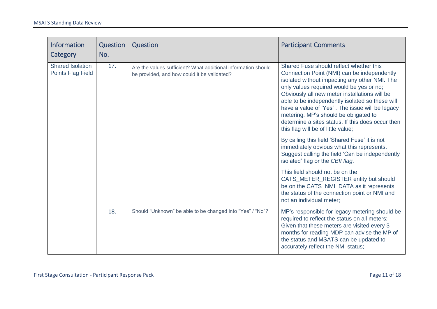| <b>Information</b><br>Category                      | Question<br>No. | Question                                                                                                     | <b>Participant Comments</b>                                                                                                                                                                                                                                                                                                                                                                                                                                                    |
|-----------------------------------------------------|-----------------|--------------------------------------------------------------------------------------------------------------|--------------------------------------------------------------------------------------------------------------------------------------------------------------------------------------------------------------------------------------------------------------------------------------------------------------------------------------------------------------------------------------------------------------------------------------------------------------------------------|
| <b>Shared Isolation</b><br><b>Points Flag Field</b> | 17.             | Are the values sufficient? What additional information should<br>be provided, and how could it be validated? | Shared Fuse should reflect whether this<br>Connection Point (NMI) can be independently<br>isolated without impacting any other NMI. The<br>only values required would be yes or no;<br>Obviously all new meter installations will be<br>able to be independently isolated so these will<br>have a value of 'Yes'. The issue will be legacy<br>metering. MP's should be obligated to<br>determine a sites status. If this does occur then<br>this flag will be of little value; |
|                                                     |                 |                                                                                                              | By calling this field 'Shared Fuse' it is not<br>immediately obvious what this represents.<br>Suggest calling the field 'Can be independently<br>isolated' flag or the CBII flag.                                                                                                                                                                                                                                                                                              |
|                                                     |                 |                                                                                                              | This field should not be on the<br>CATS_METER_REGISTER entity but should<br>be on the CATS_NMI_DATA as it represents<br>the status of the connection point or NMI and<br>not an individual meter;                                                                                                                                                                                                                                                                              |
|                                                     | 18.             | Should "Unknown" be able to be changed into "Yes" / "No"?                                                    | MP's responsible for legacy metering should be<br>required to reflect the status on all meters;<br>Given that these meters are visited every 3<br>months for reading MDP can advise the MP of<br>the status and MSATS can be updated to<br>accurately reflect the NMI status;                                                                                                                                                                                                  |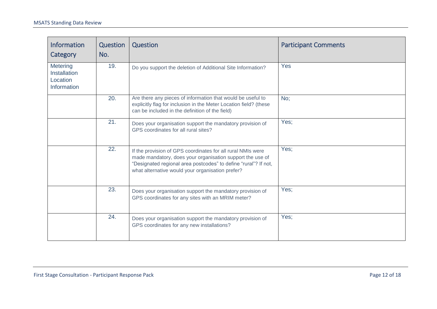| <b>Information</b><br><b>Category</b>                      | Question<br>No. | Question                                                                                                                                                                                                                                        | <b>Participant Comments</b> |
|------------------------------------------------------------|-----------------|-------------------------------------------------------------------------------------------------------------------------------------------------------------------------------------------------------------------------------------------------|-----------------------------|
| <b>Metering</b><br>Installation<br>Location<br>Information | 19.             | Do you support the deletion of Additional Site Information?                                                                                                                                                                                     | Yes                         |
|                                                            | 20.             | Are there any pieces of information that would be useful to<br>explicitly flag for inclusion in the Meter Location field? (these<br>can be included in the definition of the field)                                                             | No;                         |
|                                                            | 21.             | Does your organisation support the mandatory provision of<br>GPS coordinates for all rural sites?                                                                                                                                               | Yes;                        |
|                                                            | 22.             | If the provision of GPS coordinates for all rural NMIs were<br>made mandatory, does your organisation support the use of<br>"Designated regional area postcodes" to define "rural"? If not,<br>what alternative would your organisation prefer? | Yes;                        |
|                                                            | 23.             | Does your organisation support the mandatory provision of<br>GPS coordinates for any sites with an MRIM meter?                                                                                                                                  | Yes;                        |
|                                                            | 24.             | Does your organisation support the mandatory provision of<br>GPS coordinates for any new installations?                                                                                                                                         | Yes;                        |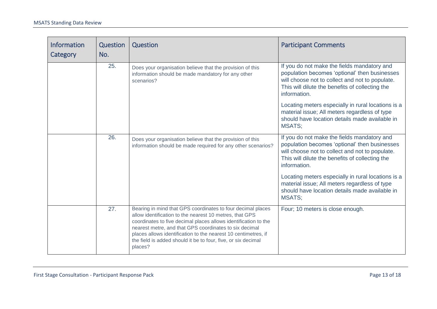| Information<br>Category | Question<br>No. | Question                                                                                                                                                                                                                                                                                                                                                                                          | <b>Participant Comments</b>                                                                                                                                                                                        |
|-------------------------|-----------------|---------------------------------------------------------------------------------------------------------------------------------------------------------------------------------------------------------------------------------------------------------------------------------------------------------------------------------------------------------------------------------------------------|--------------------------------------------------------------------------------------------------------------------------------------------------------------------------------------------------------------------|
|                         | 25.             | Does your organisation believe that the provision of this<br>information should be made mandatory for any other<br>scenarios?                                                                                                                                                                                                                                                                     | If you do not make the fields mandatory and<br>population becomes 'optional' then businesses<br>will choose not to collect and not to populate.<br>This will dilute the benefits of collecting the<br>information. |
|                         |                 |                                                                                                                                                                                                                                                                                                                                                                                                   | Locating meters especially in rural locations is a<br>material issue; All meters regardless of type<br>should have location details made available in<br><b>MSATS:</b>                                             |
|                         | 26.             | Does your organisation believe that the provision of this<br>information should be made required for any other scenarios?                                                                                                                                                                                                                                                                         | If you do not make the fields mandatory and<br>population becomes 'optional' then businesses<br>will choose not to collect and not to populate.<br>This will dilute the benefits of collecting the<br>information. |
|                         |                 |                                                                                                                                                                                                                                                                                                                                                                                                   | Locating meters especially in rural locations is a<br>material issue; All meters regardless of type<br>should have location details made available in<br><b>MSATS;</b>                                             |
|                         | 27.             | Bearing in mind that GPS coordinates to four decimal places<br>allow identification to the nearest 10 metres, that GPS<br>coordinates to five decimal places allows identification to the<br>nearest metre, and that GPS coordinates to six decimal<br>places allows identification to the nearest 10 centimetres, if<br>the field is added should it be to four, five, or six decimal<br>places? | Four; 10 meters is close enough.                                                                                                                                                                                   |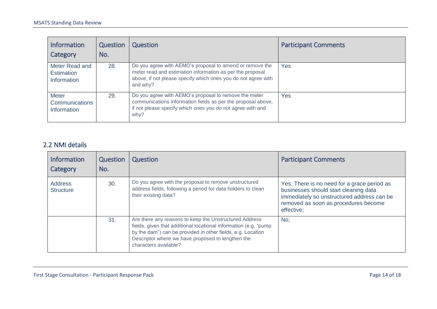| <b>Information</b><br>Category                       | Question<br>No. | Question                                                                                                                                                                                           | <b>Participant Comments</b> |
|------------------------------------------------------|-----------------|----------------------------------------------------------------------------------------------------------------------------------------------------------------------------------------------------|-----------------------------|
| Meter Read and<br><b>Estimation</b><br>Information   | 28.             | Do you agree with AEMO's proposal to amend or remove the<br>meter read and estimation information as per the proposal<br>above, if not please specify which ones you do not agree with<br>and why? | Yes                         |
| <b>Meter</b><br><b>Communications</b><br>Information | 29.             | Do you agree with AEMO's proposal to remove the meter<br>communications information fields as per the proposal above,<br>if not please specify which ones you do not agree with and<br>why?        | Yes                         |

#### 2.2 NMI details

| <b>Information</b><br>Category     | Question<br>No. | Question                                                                                                                                                                                                                                                                | <b>Participant Comments</b>                                                                                                                                                              |
|------------------------------------|-----------------|-------------------------------------------------------------------------------------------------------------------------------------------------------------------------------------------------------------------------------------------------------------------------|------------------------------------------------------------------------------------------------------------------------------------------------------------------------------------------|
| <b>Address</b><br><b>Structure</b> | 30.             | Do you agree with the proposal to remove unstructured<br>address fields, following a period for data holders to clean<br>their existing data?                                                                                                                           | Yes; There is no need for a grace period as<br>businesses should start cleaning data<br>immediately so unstructured address can be<br>removed as soon as procedures become<br>effective; |
|                                    | 31.             | Are there any reasons to keep the Unstructured Address<br>fields, given that additional locational information (e.g. "pump<br>by the dam") can be provided in other fields, e.g. Location<br>Descriptor where we have proposed to lengthen the<br>characters available? | No:                                                                                                                                                                                      |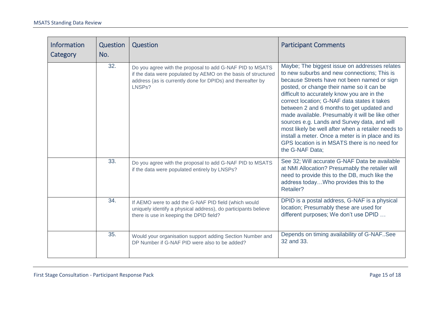| Information<br>Category | <b>Question</b><br>No. | Question                                                                                                                                                                                          | <b>Participant Comments</b>                                                                                                                                                                                                                                                                                                                                                                                                                                                                                                                                                                                             |
|-------------------------|------------------------|---------------------------------------------------------------------------------------------------------------------------------------------------------------------------------------------------|-------------------------------------------------------------------------------------------------------------------------------------------------------------------------------------------------------------------------------------------------------------------------------------------------------------------------------------------------------------------------------------------------------------------------------------------------------------------------------------------------------------------------------------------------------------------------------------------------------------------------|
|                         | 32.                    | Do you agree with the proposal to add G-NAF PID to MSATS<br>if the data were populated by AEMO on the basis of structured<br>address (as is currently done for DPIDs) and thereafter by<br>LNSPs? | Maybe; The biggest issue on addresses relates<br>to new suburbs and new connections; This is<br>because Streets have not been named or sign<br>posted, or change their name so it can be<br>difficult to accurately know you are in the<br>correct location; G-NAF data states it takes<br>between 2 and 6 months to get updated and<br>made available. Presumably it will be like other<br>sources e.g. Lands and Survey data, and will<br>most likely be well after when a retailer needs to<br>install a meter. Once a meter is in place and its<br>GPS location is in MSATS there is no need for<br>the G-NAF Data: |
|                         | 33.                    | Do you agree with the proposal to add G-NAF PID to MSATS<br>if the data were populated entirely by LNSPs?                                                                                         | See 32; Will accurate G-NAF Data be available<br>at NMI Allocation? Presumably the retailer will<br>need to provide this to the DB, much like the<br>address todayWho provides this to the<br>Retailer?                                                                                                                                                                                                                                                                                                                                                                                                                 |
|                         | 34.                    | If AEMO were to add the G-NAF PID field (which would<br>uniquely identify a physical address), do participants believe<br>there is use in keeping the DPID field?                                 | DPID is a postal address, G-NAF is a physical<br>location; Presumably these are used for<br>different purposes; We don't use DPID                                                                                                                                                                                                                                                                                                                                                                                                                                                                                       |
|                         | 35.                    | Would your organisation support adding Section Number and<br>DP Number if G-NAF PID were also to be added?                                                                                        | Depends on timing availability of G-NAFSee<br>32 and 33.                                                                                                                                                                                                                                                                                                                                                                                                                                                                                                                                                                |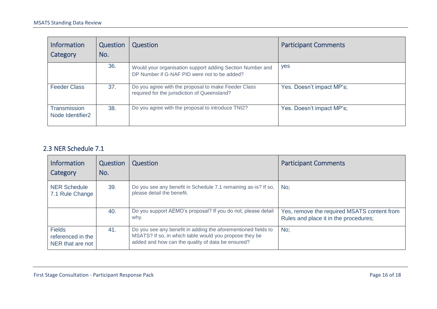| <b>Information</b><br>Category                      | Question<br>No. | Question                                                                                                  | <b>Participant Comments</b> |
|-----------------------------------------------------|-----------------|-----------------------------------------------------------------------------------------------------------|-----------------------------|
|                                                     | 36.             | Would your organisation support adding Section Number and<br>DP Number if G-NAF PID were not to be added? | yes                         |
| <b>Feeder Class</b>                                 | 37.             | Do you agree with the proposal to make Feeder Class<br>required for the jurisdiction of Queensland?       | Yes. Doesn't impact MP's;   |
| <b>Transmission</b><br>Node Identifier <sub>2</sub> | 38.             | Do you agree with the proposal to introduce TNI2?                                                         | Yes. Doesn't impact MP's;   |

#### 2.3 NER Schedule 7.1

| <b>Information</b><br>Category                         | Question<br>No. | Question                                                                                                                                                                     | <b>Participant Comments</b>                                                          |
|--------------------------------------------------------|-----------------|------------------------------------------------------------------------------------------------------------------------------------------------------------------------------|--------------------------------------------------------------------------------------|
| <b>NER Schedule</b><br>7.1 Rule Change                 | 39.             | Do you see any benefit in Schedule 7.1 remaining as-is? If so,<br>please detail the benefit.                                                                                 | No:                                                                                  |
|                                                        | 40.             | Do you support AEMO's proposal? If you do not, please detail<br>why.                                                                                                         | Yes, remove the required MSATS content from<br>Rules and place it in the procedures; |
| <b>Fields</b><br>referenced in the<br>NER that are not | 41.             | Do you see any benefit in adding the aforementioned fields to<br>MSATS? If so, in which table would you propose they be<br>added and how can the quality of data be ensured? | No:                                                                                  |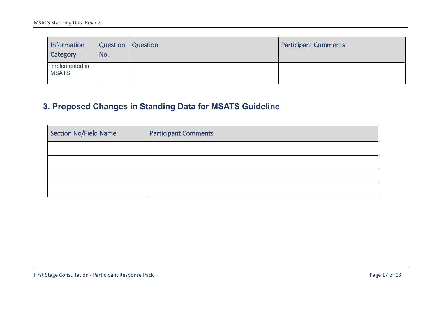| Information<br>Category        | Question<br>No. | Question | <b>Participant Comments</b> |
|--------------------------------|-----------------|----------|-----------------------------|
| implemented in<br><b>MSATS</b> |                 |          |                             |

## **3. Proposed Changes in Standing Data for MSATS Guideline**

<span id="page-16-0"></span>

| Section No/Field Name | <b>Participant Comments</b> |
|-----------------------|-----------------------------|
|                       |                             |
|                       |                             |
|                       |                             |
|                       |                             |